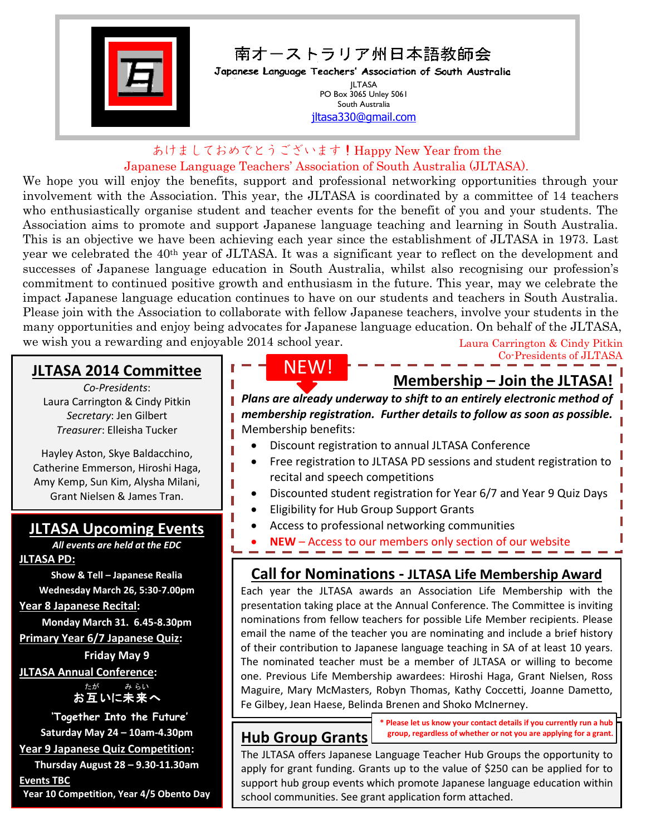

あけましておめでとうございます!Happy New Year from the Japanese Language Teachers' Association of South Australia (JLTASA).

We hope you will enjoy the benefits, support and professional networking opportunities through your involvement with the Association. This year, the JLTASA is coordinated by a committee of 14 teachers who enthusiastically organise student and teacher events for the benefit of you and your students. The Association aims to promote and support Japanese language teaching and learning in South Australia. This is an objective we have been achieving each year since the establishment of JLTASA in 1973. Last year we celebrated the 40th year of JLTASA. It was a significant year to reflect on the development and successes of Japanese language education in South Australia, whilst also recognising our profession's commitment to continued positive growth and enthusiasm in the future. This year, may we celebrate the impact Japanese language education continues to have on our students and teachers in South Australia. Please join with the Association to collaborate with fellow Japanese teachers, involve your students in the many opportunities and enjoy being advocates for Japanese language education. On behalf of the JLTASA, we wish you a rewarding and enjoyable 2014 school year. Laura Carrington & Cindy Pitkin

#### **JLTASA 2014 Committee**

*Co-Presidents*: Laura Carrington & Cindy Pitkin *Secretary*: Jen Gilbert *Treasurer*: Elleisha Tucker

Hayley Aston, Skye Baldacchino, Catherine Emmerson, Hiroshi Haga, Amy Kemp, Sun Kim, Alysha Milani, Grant Nielsen & James Tran.

#### **JLTASA Upcoming Events**

*All events are held at the EDC* **JLTASA PD:**

**Show & Tell – Japanese Realia Wednesday March 26, 5:30-7.00pm**

**Year 8 Japanese Recital:**

**Monday March 31. 6.45-8.30pm Primary Year 6/7 Japanese Quiz:** 

**Friday May 9 JLTASA Annual Conference:**

> お互いに未来へ たが み らい

**'Together Into the Future'**

**Saturday May 24 – 10am-4.30pm**

**Year 9 Japanese Quiz Competition:**

**Thursday August 28 – 9.30-11.30am Events TBC**

**Year 10 Competition, Year 4/5 Obento Day**

# NEW!

### **Membership – Join the JLTASA!**

Co-Presidents of JLTASA

*Plans are already underway to shift to an entirely electronic method of membership registration. Further details to follow as soon as possible.* Membership benefits:

- Discount registration to annual JLTASA Conference
- Free registration to JLTASA PD sessions and student registration to recital and speech competitions
- Discounted student registration for Year 6/7 and Year 9 Quiz Days
- Eligibility for Hub Group Support Grants
- Access to professional networking communities
- **NEW** Access to our members only section of our website Email updates relevant to language education
- **Call for Nominations - JLTASA Life Membership Award**

Each year the JLTASA awards an Association Life Membership with the presentation taking place at the Annual Conference. The Committee is inviting nominations from fellow teachers for possible Life Member recipients. Please email the name of the teacher you are nominating and include a brief history of their contribution to Japanese language teaching in SA of at least 10 years. The nominated teacher must be a member of JLTASA or willing to become one. Previous Life Membership awardees: Hiroshi Haga, Grant Nielsen, Ross Maguire, Mary McMasters, Robyn Thomas, Kathy Coccetti, Joanne Dametto, Fe Gilbey, Jean Haese, Belinda Brenen and Shoko McInerney.

### **Hub Group Grants**

**\* Please let us know your contact details if you currently run a hub group, regardless of whether or not you are applying for a grant.**

The JLTASA offers Japanese Language Teacher Hub Groups the opportunity to apply for grant funding. Grants up to the value of \$250 can be applied for to support hub group events which promote Japanese language education within school communities. See grant application form attached.